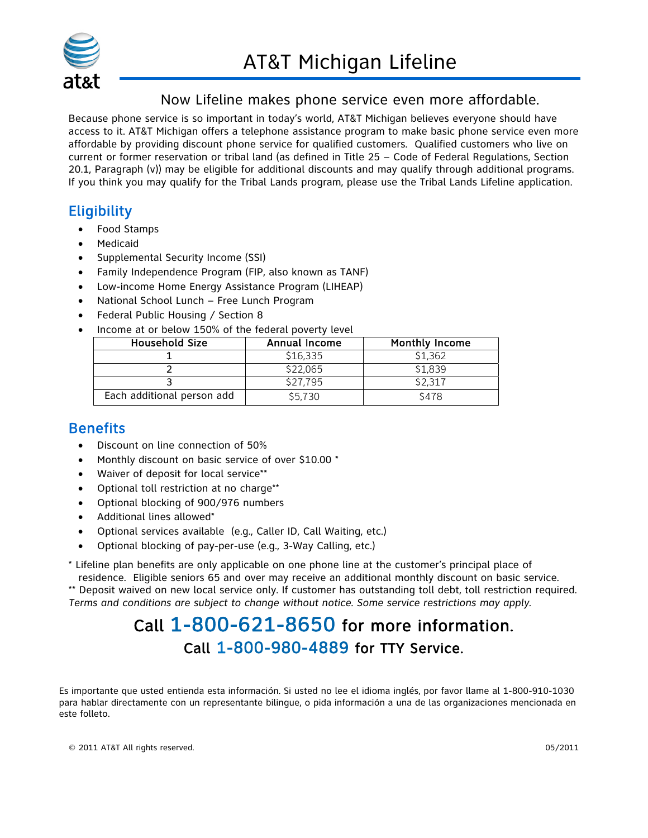

#### Now Lifeline makes phone service even more affordable.

Because phone service is so important in today's world, AT&T Michigan believes everyone should have access to it. AT&T Michigan offers a telephone assistance program to make basic phone service even more affordable by providing discount phone service for qualified customers. Qualified customers who live on current or former reservation or tribal land (as defined in Title 25 – Code of Federal Regulations, Section 20.1, Paragraph (v)) may be eligible for additional discounts and may qualify through additional programs. If you think you may qualify for the Tribal Lands program, please use the Tribal Lands Lifeline application.

## **Eligibility**

- Food Stamps
- **Medicaid**
- Supplemental Security Income (SSI)
- Family Independence Program (FIP, also known as TANF)
- Low-income Home Energy Assistance Program (LIHEAP)
- National School Lunch Free Lunch Program
- Federal Public Housing / Section 8
- Income at or below 150% of the federal poverty level

| <b>Household Size</b>      | Annual Income | Monthly Income |
|----------------------------|---------------|----------------|
|                            | \$16,335      | \$1,362        |
|                            | \$22,065      | \$1,839        |
|                            | \$27.795      | \$2,317        |
| Each additional person add | \$5.730       | \$478          |

### **Benefits**

- Discount on line connection of 50%
- Monthly discount on basic service of over \$10.00 \*
- Waiver of deposit for local service\*\*
- Optional toll restriction at no charge\*\*
- Optional blocking of 900/976 numbers
- Additional lines allowed\*
- Optional services available (e.g., Caller ID, Call Waiting, etc.)
- Optional blocking of pay-per-use (e.g., 3-Way Calling, etc.)

\* Lifeline plan benefits are only applicable on one phone line at the customer's principal place of

residence. Eligible seniors 65 and over may receive an additional monthly discount on basic service. \*\* Deposit waived on new local service only. If customer has outstanding toll debt, toll restriction required. *Terms and conditions are subject to change without notice. Some service restrictions may apply.* 

## Call 1-800-621-8650 for more information. Call 1-800-980-4889 for TTY Service.

Es importante que usted entienda esta información. Si usted no lee el idioma inglés, por favor llame al 1-800-910-1030 para hablar directamente con un representante bilingue, o pida información a una de las organizaciones mencionada en este folleto.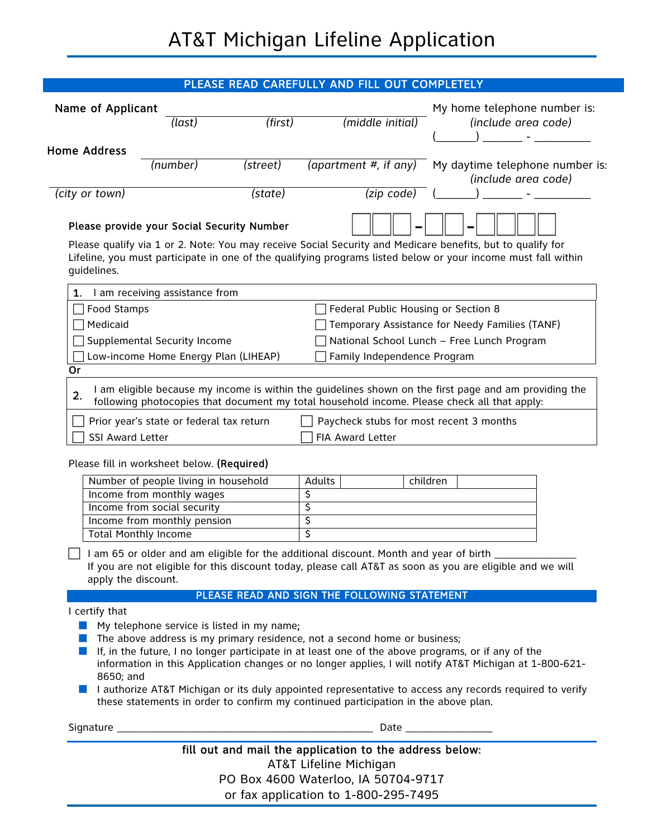| PLEASE READ CAREFULLY AND FILL OUT COMPLETELY                                                                    |          |          |                                                                                                                                                                                                                                                                       |                                                                                                                                                                                                                             |
|------------------------------------------------------------------------------------------------------------------|----------|----------|-----------------------------------------------------------------------------------------------------------------------------------------------------------------------------------------------------------------------------------------------------------------------|-----------------------------------------------------------------------------------------------------------------------------------------------------------------------------------------------------------------------------|
| Name of Applicant<br><b>Home Address</b>                                                                         | (last)   | (first)  | (middle initial)                                                                                                                                                                                                                                                      | My home telephone number is:<br>(include area code)                                                                                                                                                                         |
|                                                                                                                  | (number) | (street) | (apartment $#$ , if any)                                                                                                                                                                                                                                              | My daytime telephone number is:<br>(include area code)                                                                                                                                                                      |
| (city or town)                                                                                                   |          | (state)  | (zip code)                                                                                                                                                                                                                                                            |                                                                                                                                                                                                                             |
| Please provide your Social Security Number<br>guidelines.                                                        |          |          |                                                                                                                                                                                                                                                                       | Please qualify via 1 or 2. Note: You may receive Social Security and Medicare benefits, but to qualify for<br>Lifeline, you must participate in one of the qualifying programs listed below or your income must fall within |
| I am receiving assistance from<br>1.                                                                             |          |          |                                                                                                                                                                                                                                                                       |                                                                                                                                                                                                                             |
| Food Stamps<br>Medicaid<br>Supplemental Security Income<br>Low-income Home Energy Plan (LIHEAP)<br>Or            |          |          | Federal Public Housing or Section 8<br>Family Independence Program                                                                                                                                                                                                    | Temporary Assistance for Needy Families (TANF)<br>National School Lunch - Free Lunch Program                                                                                                                                |
| 2.<br>Prior year's state or federal tax return<br>SSI Award Letter<br>Please fill in worksheet below. (Required) |          |          | following photocopies that document my total household income. Please check all that apply:<br>Paycheck stubs for most recent 3 months<br>FIA Award Letter                                                                                                            |                                                                                                                                                                                                                             |
| Number of people living in household                                                                             |          |          | <b>Adults</b>                                                                                                                                                                                                                                                         | children                                                                                                                                                                                                                    |
| Income from monthly wages                                                                                        |          |          | \$                                                                                                                                                                                                                                                                    |                                                                                                                                                                                                                             |
| Income from social security                                                                                      |          |          | \$                                                                                                                                                                                                                                                                    |                                                                                                                                                                                                                             |
| Income from monthly pension                                                                                      |          |          | \$<br>\$                                                                                                                                                                                                                                                              |                                                                                                                                                                                                                             |
| <b>Total Monthly Income</b><br>apply the discount.                                                               |          |          |                                                                                                                                                                                                                                                                       | I am 65 or older and am eligible for the additional discount. Month and year of birth _____________<br>If you are not eligible for this discount today, please call AT&T as soon as you are eligible and we will            |
|                                                                                                                  |          |          | PLEASE READ AND SIGN THE FOLLOWING STATEMENT                                                                                                                                                                                                                          |                                                                                                                                                                                                                             |
| I certify that<br>My telephone service is listed in my name;<br>a a s<br>8650; and                               |          |          | The above address is my primary residence, not a second home or business;<br>If, in the future, I no longer participate in at least one of the above programs, or if any of the<br>these statements in order to confirm my continued participation in the above plan. | information in this Application changes or no longer applies, I will notify AT&T Michigan at 1-800-621-<br>I lauthorize AT&T Michigan or its duly appointed representative to access any records required to verify         |
|                                                                                                                  |          |          |                                                                                                                                                                                                                                                                       |                                                                                                                                                                                                                             |
|                                                                                                                  |          |          | fill out and mail the application to the address below:<br>AT&T Lifeline Michigan<br>PO Box 4600 Waterloo, IA 50704-9717<br>or fax application to 1,000,005,7405                                                                                                      |                                                                                                                                                                                                                             |

or fax application to 1-800-295-7495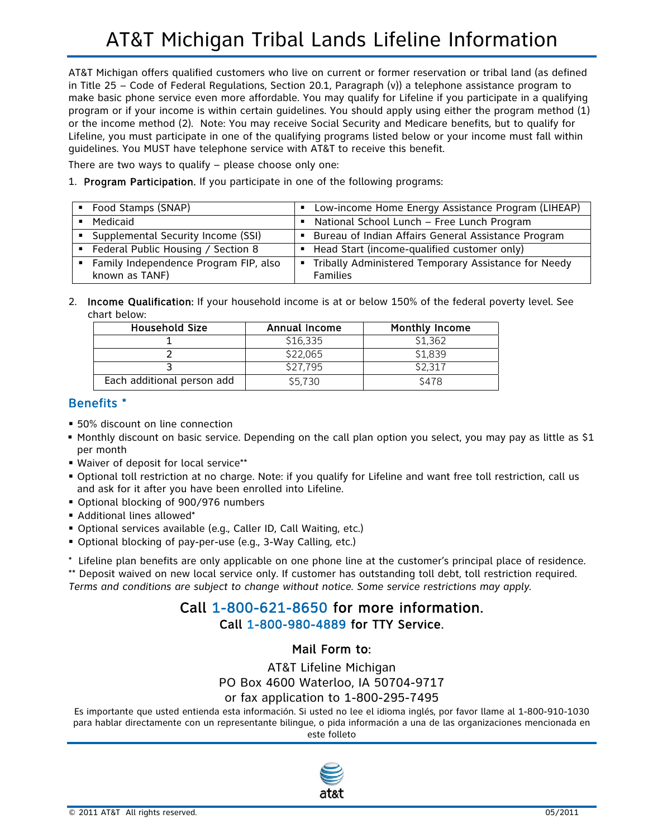# AT&T Michigan Tribal Lands Lifeline Information

AT&T Michigan offers qualified customers who live on current or former reservation or tribal land (as defined in Title 25 – Code of Federal Regulations, Section 20.1, Paragraph (v)) a telephone assistance program to make basic phone service even more affordable. You may qualify for Lifeline if you participate in a qualifying program or if your income is within certain guidelines. You should apply using either the program method (1) or the income method (2). Note: You may receive Social Security and Medicare benefits, but to qualify for Lifeline, you must participate in one of the qualifying programs listed below or your income must fall within guidelines. You MUST have telephone service with AT&T to receive this benefit.

There are two ways to qualify – please choose only one:

1. Program Participation. If you participate in one of the following programs:

| ■ Food Stamps (SNAP)                  | • Low-income Home Energy Assistance Program (LIHEAP)   |
|---------------------------------------|--------------------------------------------------------|
| Medicaid                              | • National School Lunch - Free Lunch Program           |
| • Supplemental Security Income (SSI)  | • Bureau of Indian Affairs General Assistance Program  |
| Federal Public Housing / Section 8    | ■ Head Start (income-qualified customer only)          |
| Family Independence Program FIP, also | • Tribally Administered Temporary Assistance for Needy |
| known as TANF)                        | <b>Families</b>                                        |

2. Income Qualification: If your household income is at or below 150% of the federal poverty level. See chart below:

| <b>Household Size</b>      | Annual Income | <b>Monthly Income</b> |
|----------------------------|---------------|-----------------------|
|                            | \$16,335      | \$1,362               |
|                            | \$22,065      | \$1,839               |
|                            | \$27.795      | \$2.317               |
| Each additional person add | \$5.730       | <b>\$478</b>          |

#### Benefits \*

- 50% discount on line connection
- Monthly discount on basic service. Depending on the call plan option you select, you may pay as little as \$1 per month
- Waiver of deposit for local service\*\*
- Optional toll restriction at no charge. Note: if you qualify for Lifeline and want free toll restriction, call us and ask for it after you have been enrolled into Lifeline.
- Optional blocking of 900/976 numbers
- Additional lines allowed\*
- Optional services available (e.g., Caller ID, Call Waiting, etc.)
- Optional blocking of pay-per-use (e.g., 3-Way Calling, etc.)

\* Lifeline plan benefits are only applicable on one phone line at the customer's principal place of residence.

\*\* Deposit waived on new local service only. If customer has outstanding toll debt, toll restriction required. *Terms and conditions are subject to change without notice. Some service restrictions may apply.* 

#### Call 1-800-621-8650 for more information. Call 1-800-980-4889 for TTY Service.

#### Mail Form to:

AT&T Lifeline Michigan

PO Box 4600 Waterloo, IA 50704-9717

#### or fax application to 1-800-295-7495

Es importante que usted entienda esta información. Si usted no lee el idioma inglés, por favor llame al 1-800-910-1030 para hablar directamente con un representante bilingue, o pida información a una de las organizaciones mencionada en este folleto